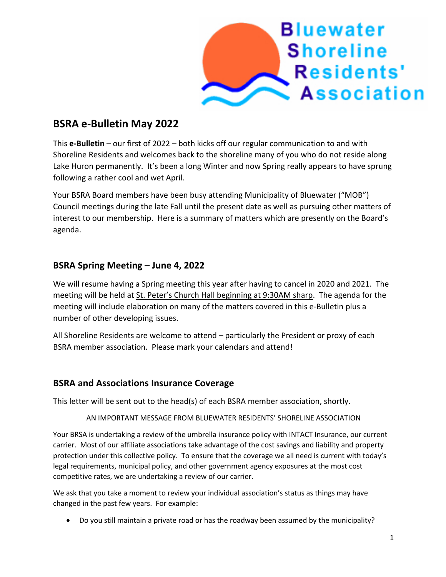

# **BSRA e-Bulletin May 2022**

This **e-Bulletin** – our first of 2022 – both kicks off our regular communication to and with Shoreline Residents and welcomes back to the shoreline many of you who do not reside along Lake Huron permanently. It's been a long Winter and now Spring really appears to have sprung following a rather cool and wet April.

Your BSRA Board members have been busy attending Municipality of Bluewater ("MOB") Council meetings during the late Fall until the present date as well as pursuing other matters of interest to our membership. Here is a summary of matters which are presently on the Board's agenda.

### **BSRA Spring Meeting – June 4, 2022**

We will resume having a Spring meeting this year after having to cancel in 2020 and 2021. The meeting will be held at St. Peter's Church Hall beginning at 9:30AM sharp. The agenda for the meeting will include elaboration on many of the matters covered in this e-Bulletin plus a number of other developing issues.

All Shoreline Residents are welcome to attend – particularly the President or proxy of each BSRA member association. Please mark your calendars and attend!

#### **BSRA and Associations Insurance Coverage**

This letter will be sent out to the head(s) of each BSRA member association, shortly.

#### AN IMPORTANT MESSAGE FROM BLUEWATER RESIDENTS' SHORELINE ASSOCIATION

Your BRSA is undertaking a review of the umbrella insurance policy with INTACT Insurance, our current carrier. Most of our affiliate associations take advantage of the cost savings and liability and property protection under this collective policy. To ensure that the coverage we all need is current with today's legal requirements, municipal policy, and other government agency exposures at the most cost competitive rates, we are undertaking a review of our carrier.

We ask that you take a moment to review your individual association's status as things may have changed in the past few years. For example:

• Do you still maintain a private road or has the roadway been assumed by the municipality?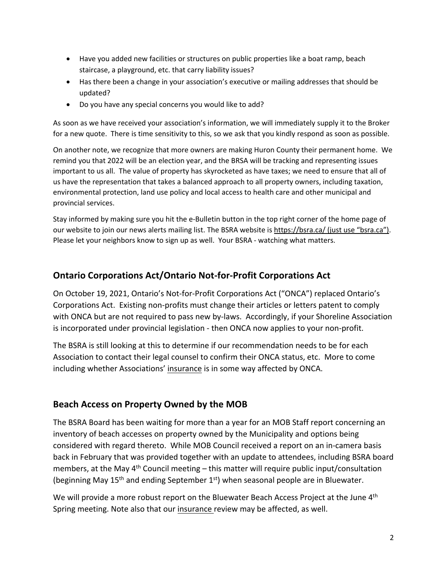- Have you added new facilities or structures on public properties like a boat ramp, beach staircase, a playground, etc. that carry liability issues?
- Has there been a change in your association's executive or mailing addresses that should be updated?
- Do you have any special concerns you would like to add?

As soon as we have received your association's information, we will immediately supply it to the Broker for a new quote. There is time sensitivity to this, so we ask that you kindly respond as soon as possible.

On another note, we recognize that more owners are making Huron County their permanent home. We remind you that 2022 will be an election year, and the BRSA will be tracking and representing issues important to us all. The value of property has skyrocketed as have taxes; we need to ensure that all of us have the representation that takes a balanced approach to all property owners, including taxation, environmental protection, land use policy and local access to health care and other municipal and provincial services.

Stay informed by making sure you hit the e-Bulletin button in the top right corner of the home page of our website to join our news alerts mailing list. The BSRA website is https://bsra.ca/ (just use "bsra.ca"). Please let your neighbors know to sign up as well. Your BSRA - watching what matters.

### **Ontario Corporations Act/Ontario Not-for-Profit Corporations Act**

On October 19, 2021, Ontario's Not-for-Profit Corporations Act ("ONCA") replaced Ontario's Corporations Act. Existing non-profits must change their articles or letters patent to comply with ONCA but are not required to pass new by-laws. Accordingly, if your Shoreline Association is incorporated under provincial legislation - then ONCA now applies to your non-profit.

The BSRA is still looking at this to determine if our recommendation needs to be for each Association to contact their legal counsel to confirm their ONCA status, etc. More to come including whether Associations' insurance is in some way affected by ONCA.

### **Beach Access on Property Owned by the MOB**

The BSRA Board has been waiting for more than a year for an MOB Staff report concerning an inventory of beach accesses on property owned by the Municipality and options being considered with regard thereto. While MOB Council received a report on an in-camera basis back in February that was provided together with an update to attendees, including BSRA board members, at the May  $4<sup>th</sup>$  Council meeting – this matter will require public input/consultation (beginning May  $15<sup>th</sup>$  and ending September  $1<sup>st</sup>$ ) when seasonal people are in Bluewater.

We will provide a more robust report on the Bluewater Beach Access Project at the June 4<sup>th</sup> Spring meeting. Note also that our insurance review may be affected, as well.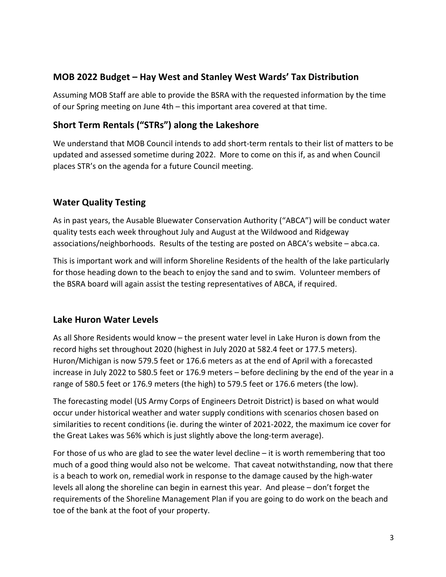### **MOB 2022 Budget – Hay West and Stanley West Wards' Tax Distribution**

Assuming MOB Staff are able to provide the BSRA with the requested information by the time of our Spring meeting on June 4th – this important area covered at that time.

# **Short Term Rentals ("STRs") along the Lakeshore**

We understand that MOB Council intends to add short-term rentals to their list of matters to be updated and assessed sometime during 2022. More to come on this if, as and when Council places STR's on the agenda for a future Council meeting.

# **Water Quality Testing**

As in past years, the Ausable Bluewater Conservation Authority ("ABCA") will be conduct water quality tests each week throughout July and August at the Wildwood and Ridgeway associations/neighborhoods. Results of the testing are posted on ABCA's website – abca.ca.

This is important work and will inform Shoreline Residents of the health of the lake particularly for those heading down to the beach to enjoy the sand and to swim. Volunteer members of the BSRA board will again assist the testing representatives of ABCA, if required.

### **Lake Huron Water Levels**

As all Shore Residents would know – the present water level in Lake Huron is down from the record highs set throughout 2020 (highest in July 2020 at 582.4 feet or 177.5 meters). Huron/Michigan is now 579.5 feet or 176.6 meters as at the end of April with a forecasted increase in July 2022 to 580.5 feet or 176.9 meters – before declining by the end of the year in a range of 580.5 feet or 176.9 meters (the high) to 579.5 feet or 176.6 meters (the low).

The forecasting model (US Army Corps of Engineers Detroit District) is based on what would occur under historical weather and water supply conditions with scenarios chosen based on similarities to recent conditions (ie. during the winter of 2021-2022, the maximum ice cover for the Great Lakes was 56% which is just slightly above the long-term average).

For those of us who are glad to see the water level decline – it is worth remembering that too much of a good thing would also not be welcome. That caveat notwithstanding, now that there is a beach to work on, remedial work in response to the damage caused by the high-water levels all along the shoreline can begin in earnest this year. And please – don't forget the requirements of the Shoreline Management Plan if you are going to do work on the beach and toe of the bank at the foot of your property.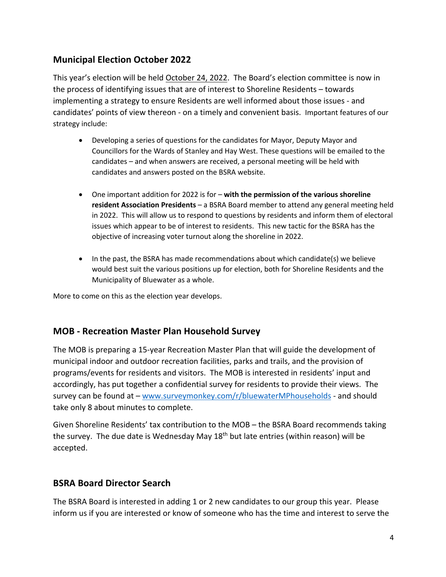# **Municipal Election October 2022**

This year's election will be held October 24, 2022. The Board's election committee is now in the process of identifying issues that are of interest to Shoreline Residents – towards implementing a strategy to ensure Residents are well informed about those issues - and candidates' points of view thereon - on a timely and convenient basis. Important features of our strategy include:

- Developing a series of questions for the candidates for Mayor, Deputy Mayor and Councillors for the Wards of Stanley and Hay West. These questions will be emailed to the candidates – and when answers are received, a personal meeting will be held with candidates and answers posted on the BSRA website.
- One important addition for 2022 is for **with the permission of the various shoreline resident Association Presidents** – a BSRA Board member to attend any general meeting held in 2022. This will allow us to respond to questions by residents and inform them of electoral issues which appear to be of interest to residents. This new tactic for the BSRA has the objective of increasing voter turnout along the shoreline in 2022.
- In the past, the BSRA has made recommendations about which candidate(s) we believe would best suit the various positions up for election, both for Shoreline Residents and the Municipality of Bluewater as a whole.

More to come on this as the election year develops.

#### **MOB - Recreation Master Plan Household Survey**

The MOB is preparing a 15-year Recreation Master Plan that will guide the development of municipal indoor and outdoor recreation facilities, parks and trails, and the provision of programs/events for residents and visitors. The MOB is interested in residents' input and accordingly, has put together a confidential survey for residents to provide their views. The survey can be found at – www.surveymonkey.com/r/bluewaterMPhouseholds - and should take only 8 about minutes to complete.

Given Shoreline Residents' tax contribution to the MOB – the BSRA Board recommends taking the survey. The due date is Wednesday May 18<sup>th</sup> but late entries (within reason) will be accepted.

#### **BSRA Board Director Search**

The BSRA Board is interested in adding 1 or 2 new candidates to our group this year. Please inform us if you are interested or know of someone who has the time and interest to serve the